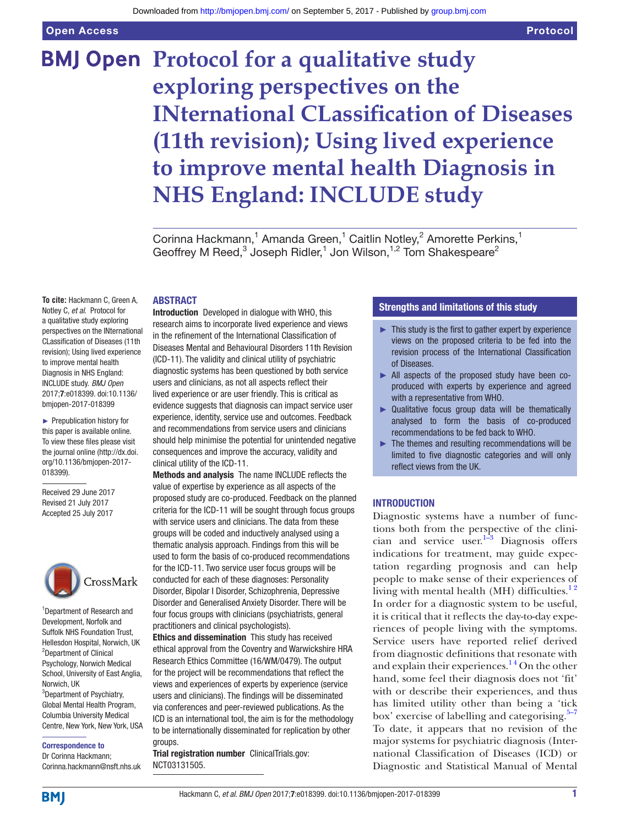Open Access

# **BMJ Open Protocol for a qualitative study exploring perspectives on the INternational CLassification of Diseases (11th revision); Using lived experience to improve mental health Diagnosis in NHS England: INCLUDE study**

Corinna Hackmann,<sup>1</sup> Amanda Green,<sup>1</sup> Caitlin Notley,<sup>2</sup> Amorette Perkins,<sup>1</sup> Geoffrey M Reed,<sup>3</sup> Joseph Ridler,<sup>1</sup> Jon Wilson,<sup>1,2</sup> Tom Shakespeare<sup>2</sup>

## **ABSTRACT**

**To cite:** Hackmann C, Green A, Notley C, *et al*. Protocol for a qualitative study exploring perspectives on the INternational CLassification of Diseases (11th revision); Using lived experience to improve mental health Diagnosis in NHS England: INCLUDE study. *BMJ Open* 2017;7:e018399. doi:10.1136/ bmjopen-2017-018399

► Prepublication history for this paper is available online. To view these files please visit the journal online [\(http://dx.doi.](http://dx.doi.org/10.1136/bmjopen-2017-018399) [org/10.1136/bmjopen-2017-](http://dx.doi.org/10.1136/bmjopen-2017-018399) [018399\)](http://dx.doi.org/10.1136/bmjopen-2017-018399).

Received 29 June 2017 Revised 21 July 2017 Accepted 25 July 2017



1 Department of Research and Development, Norfolk and Suffolk NHS Foundation Trust, Hellesdon Hospital, Norwich, UK 2 Department of Clinical Psychology, Norwich Medical School, University of East Anglia, Norwich, UK <sup>3</sup>Department of Psychiatry, Global Mental Health Program, Columbia University Medical Centre, New York, New York, USA

Correspondence to

Dr Corinna Hackmann; Corinna.hackmann@nsft.nhs.uk Introduction Developed in dialogue with WHO, this research aims to incorporate lived experience and views in the refinement of the International Classification of Diseases Mental and Behavioural Disorders 11th Revision (ICD-11). The validity and clinical utility of psychiatric diagnostic systems has been questioned by both service users and clinicians, as not all aspects reflect their lived experience or are user friendly. This is critical as evidence suggests that diagnosis can impact service user experience, identity, service use and outcomes. Feedback and recommendations from service users and clinicians should help minimise the potential for unintended negative consequences and improve the accuracy, validity and clinical utility of the ICD-11.

Methods and analysis The name INCLUDE reflects the value of expertise by experience as all aspects of the proposed study are co-produced. Feedback on the planned criteria for the ICD-11 will be sought through focus groups with service users and clinicians. The data from these groups will be coded and inductively analysed using a thematic analysis approach. Findings from this will be used to form the basis of co-produced recommendations for the ICD-11. Two service user focus groups will be conducted for each of these diagnoses: Personality Disorder, Bipolar I Disorder, Schizophrenia, Depressive Disorder and Generalised Anxiety Disorder. There will be four focus groups with clinicians (psychiatrists, general practitioners and clinical psychologists).

Ethics and dissemination This study has received ethical approval from the Coventry and Warwickshire HRA Research Ethics Committee (16/WM/0479). The output for the project will be recommendations that reflect the views and experiences of experts by experience (service users and clinicians). The findings will be disseminated via conferences and peer-reviewed publications. As the ICD is an international tool, the aim is for the methodology to be internationally disseminated for replication by other groups.

Trial registration number ClinicalTrials.gov: NCT03131505.

## Strengths and limitations of this study

- $\blacktriangleright$  This study is the first to gather expert by experience views on the proposed criteria to be fed into the revision process of the International Classification of Diseases.
- ► All aspects of the proposed study have been coproduced with experts by experience and agreed with a representative from WHO.
- ► Qualitative focus group data will be thematically analysed to form the basis of co-produced recommendations to be fed back to WHO.
- $\blacktriangleright$  The themes and resulting recommendations will be limited to five diagnostic categories and will only reflect views from the UK.

## **INTRODUCTION**

Diagnostic systems have a number of functions both from the perspective of the clinician and service user. $1-3$  Diagnosis offers indications for treatment, may guide expectation regarding prognosis and can help people to make sense of their experiences of living with mental health (MH) difficulties.<sup>12</sup> In order for a diagnostic system to be useful, it is critical that it reflects the day-to-day experiences of people living with the symptoms. Service users have reported relief derived from diagnostic definitions that resonate with and explain their experiences.<sup>14</sup> On the other hand, some feel their diagnosis does not 'fit' with or describe their experiences, and thus has limited utility other than being a 'tick box' exercise of labelling and categorising. $5-7$ To date, it appears that no revision of the major systems for psychiatric diagnosis (International Classification of Diseases (ICD) or Diagnostic and Statistical Manual of Mental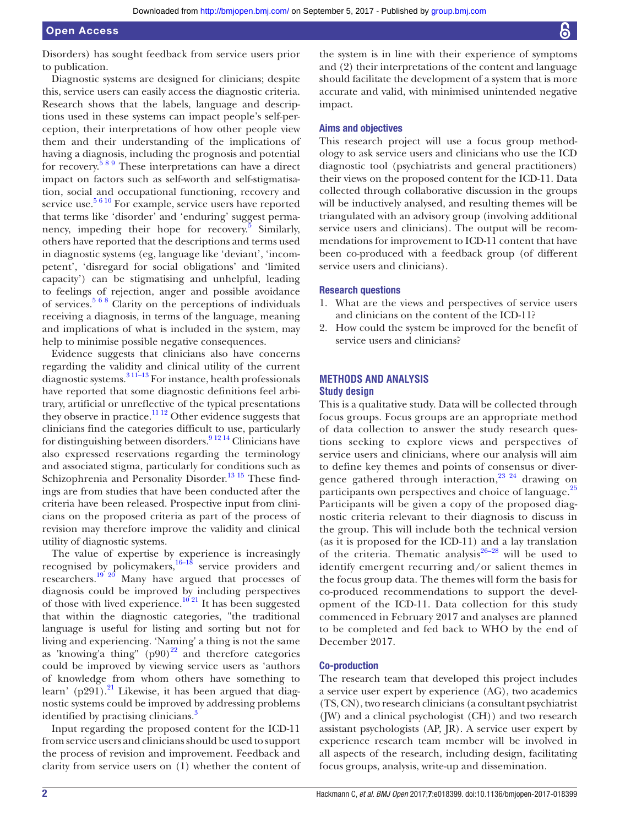Disorders) has sought feedback from service users prior to publication.

Diagnostic systems are designed for clinicians; despite this, service users can easily access the diagnostic criteria. Research shows that the labels, language and descriptions used in these systems can impact people's self-perception, their interpretations of how other people view them and their understanding of the implications of having a diagnosis, including the prognosis and potential for recovery.[5 8 9](#page-4-1) These interpretations can have a direct impact on factors such as self-worth and self-stigmatisation, social and occupational functioning, recovery and service use.<sup>[5 6 10](#page-4-1)</sup> For example, service users have reported that terms like 'disorder' and 'enduring' suggest permanency, impeding their hope for recovery.<sup>5</sup> Similarly, others have reported that the descriptions and terms used in diagnostic systems (eg, language like 'deviant', 'incompetent', 'disregard for social obligations' and 'limited capacity') can be stigmatising and unhelpful, leading to feelings of rejection, anger and possible avoidance of services.[5 6 8](#page-4-1) Clarity on the perceptions of individuals receiving a diagnosis, in terms of the language, meaning and implications of what is included in the system, may help to minimise possible negative consequences.

Evidence suggests that clinicians also have concerns regarding the validity and clinical utility of the current diagnostic systems.<sup>3 11–13</sup> For instance, health professionals have reported that some diagnostic definitions feel arbitrary, artificial or unreflective of the typical presentations they observe in practice.<sup>[11 12](#page-5-0)</sup> Other evidence suggests that clinicians find the categories difficult to use, particularly for distinguishing between disorders.<sup>9 12 14</sup> Clinicians have also expressed reservations regarding the terminology and associated stigma, particularly for conditions such as Schizophrenia and Personality Disorder.<sup>13 15</sup> These findings are from studies that have been conducted after the criteria have been released. Prospective input from clinicians on the proposed criteria as part of the process of revision may therefore improve the validity and clinical utility of diagnostic systems.

The value of expertise by experience is increasingly recognised by policymakers,<sup>16–18</sup> service providers and researchers.<sup>19 20</sup> Many have argued that processes of diagnosis could be improved by including perspectives of those with lived experience.<sup>10 21</sup> It has been suggested that within the diagnostic categories, "the traditional language is useful for listing and sorting but not for living and experiencing. 'Naming' a thing is not the same as 'knowing'a thing"  $(p90)^{22}$  and therefore categories could be improved by viewing service users as 'authors of knowledge from whom others have something to learn' (p291).<sup>21</sup> Likewise, it has been argued that diagnostic systems could be improved by addressing problems identified by practising clinicians.<sup>[3](#page-4-2)</sup>

Input regarding the proposed content for the ICD-11 from service users and clinicians should be used to support the process of revision and improvement. Feedback and clarity from service users on (1) whether the content of

the system is in line with their experience of symptoms and (2) their interpretations of the content and language should facilitate the development of a system that is more accurate and valid, with minimised unintended negative impact.

#### Aims and objectives

This research project will use a focus group methodology to ask service users and clinicians who use the ICD diagnostic tool (psychiatrists and general practitioners) their views on the proposed content for the ICD-11. Data collected through collaborative discussion in the groups will be inductively analysed, and resulting themes will be triangulated with an advisory group (involving additional service users and clinicians). The output will be recommendations for improvement to ICD-11 content that have been co-produced with a feedback group (of different service users and clinicians).

#### Research questions

- 1. What are the views and perspectives of service users and clinicians on the content of the ICD-11?
- 2. How could the system be improved for the benefit of service users and clinicians?

## **Methods and analysis Study design**

This is a qualitative study. Data will be collected through focus groups. Focus groups are an appropriate method of data collection to answer the study research questions seeking to explore views and perspectives of service users and clinicians, where our analysis will aim to define key themes and points of consensus or diver-gence gathered through interaction,<sup>[23 24](#page-5-8)</sup> drawing on participants own perspectives and choice of language.<sup>[25](#page-5-9)</sup> Participants will be given a copy of the proposed diagnostic criteria relevant to their diagnosis to discuss in the group. This will include both the technical version (as it is proposed for the ICD-11) and a lay translation of the criteria. Thematic analysis $26-28$  will be used to identify emergent recurring and/or salient themes in the focus group data. The themes will form the basis for co-produced recommendations to support the development of the ICD-11. Data collection for this study commenced in February 2017 and analyses are planned to be completed and fed back to WHO by the end of December 2017.

#### Co-production

The research team that developed this project includes a service user expert by experience (AG), two academics (TS, CN), two research clinicians (a consultant psychiatrist (JW) and a clinical psychologist (CH)) and two research assistant psychologists (AP, JR). A service user expert by experience research team member will be involved in all aspects of the research, including design, facilitating focus groups, analysis, write-up and dissemination.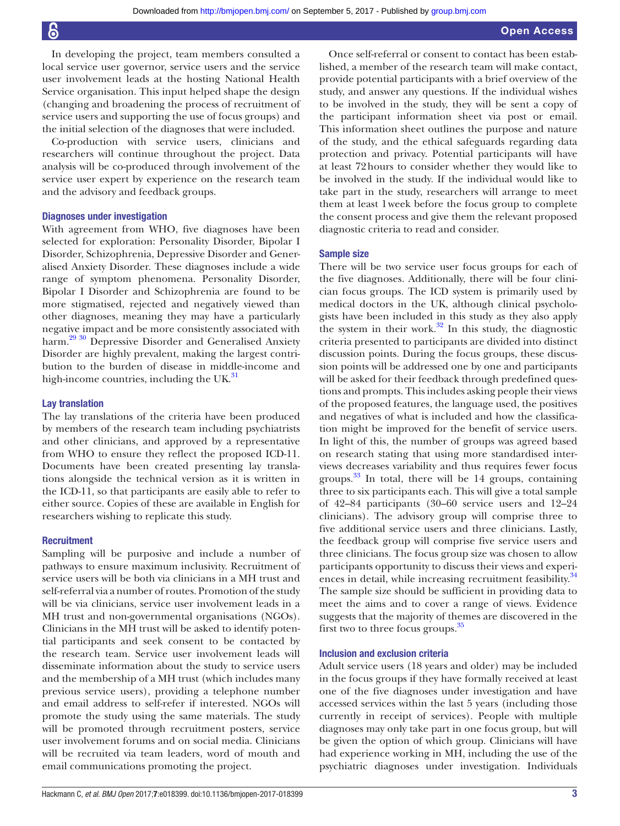In developing the project, team members consulted a local service user governor, service users and the service user involvement leads at the hosting National Health Service organisation. This input helped shape the design (changing and broadening the process of recruitment of service users and supporting the use of focus groups) and the initial selection of the diagnoses that were included.

Co-production with service users, clinicians and researchers will continue throughout the project. Data analysis will be co-produced through involvement of the service user expert by experience on the research team and the advisory and feedback groups.

#### Diagnoses under investigation

With agreement from WHO, five diagnoses have been selected for exploration: Personality Disorder, Bipolar I Disorder, Schizophrenia, Depressive Disorder and Generalised Anxiety Disorder. These diagnoses include a wide range of symptom phenomena. Personality Disorder, Bipolar I Disorder and Schizophrenia are found to be more stigmatised, rejected and negatively viewed than other diagnoses, meaning they may have a particularly negative impact and be more consistently associated with harm.<sup>29 30</sup> Depressive Disorder and Generalised Anxiety Disorder are highly prevalent, making the largest contribution to the burden of disease in middle-income and high-income countries, including the  $UK<sup>31</sup>$ 

#### Lay translation

The lay translations of the criteria have been produced by members of the research team including psychiatrists and other clinicians, and approved by a representative from WHO to ensure they reflect the proposed ICD-11. Documents have been created presenting lay translations alongside the technical version as it is written in the ICD-11, so that participants are easily able to refer to either source. Copies of these are available in English for researchers wishing to replicate this study.

#### **Recruitment**

Sampling will be purposive and include a number of pathways to ensure maximum inclusivity. Recruitment of service users will be both via clinicians in a MH trust and self-referral via a number of routes. Promotion of the study will be via clinicians, service user involvement leads in a MH trust and non-governmental organisations (NGOs). Clinicians in the MH trust will be asked to identify potential participants and seek consent to be contacted by the research team. Service user involvement leads will disseminate information about the study to service users and the membership of a MH trust (which includes many previous service users), providing a telephone number and email address to self-refer if interested. NGOs will promote the study using the same materials. The study will be promoted through recruitment posters, service user involvement forums and on social media. Clinicians will be recruited via team leaders, word of mouth and email communications promoting the project.

Once self-referral or consent to contact has been established, a member of the research team will make contact, provide potential participants with a brief overview of the study, and answer any questions. If the individual wishes to be involved in the study, they will be sent a copy of the participant information sheet via post or email. This information sheet outlines the purpose and nature of the study, and the ethical safeguards regarding data protection and privacy. Potential participants will have at least 72hours to consider whether they would like to be involved in the study. If the individual would like to take part in the study, researchers will arrange to meet them at least 1week before the focus group to complete the consent process and give them the relevant proposed diagnostic criteria to read and consider.

#### Sample size

There will be two service user focus groups for each of the five diagnoses. Additionally, there will be four clinician focus groups. The ICD system is primarily used by medical doctors in the UK, although clinical psychologists have been included in this study as they also apply the system in their work. $32$  In this study, the diagnostic criteria presented to participants are divided into distinct discussion points. During the focus groups, these discussion points will be addressed one by one and participants will be asked for their feedback through predefined questions and prompts. This includes asking people their views of the proposed features, the language used, the positives and negatives of what is included and how the classification might be improved for the benefit of service users. In light of this, the number of groups was agreed based on research stating that using more standardised interviews decreases variability and thus requires fewer focus groups. [33](#page-5-14) In total, there will be 14 groups, containing three to six participants each. This will give a total sample of 42–84 participants (30–60 service users and 12–24 clinicians). The advisory group will comprise three to five additional service users and three clinicians. Lastly, the feedback group will comprise five service users and three clinicians. The focus group size was chosen to allow participants opportunity to discuss their views and experi-ences in detail, while increasing recruitment feasibility.<sup>[34](#page-5-15)</sup> The sample size should be sufficient in providing data to meet the aims and to cover a range of views. Evidence suggests that the majority of themes are discovered in the first two to three focus groups[.35](#page-5-16)

#### Inclusion and exclusion criteria

Adult service users (18 years and older) may be included in the focus groups if they have formally received at least one of the five diagnoses under investigation and have accessed services within the last 5 years (including those currently in receipt of services). People with multiple diagnoses may only take part in one focus group, but will be given the option of which group. Clinicians will have had experience working in MH, including the use of the psychiatric diagnoses under investigation. Individuals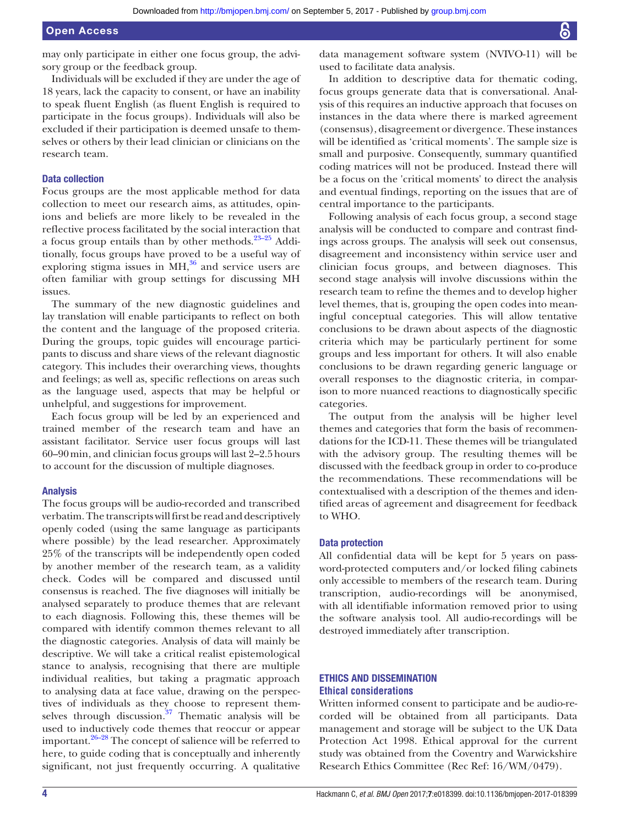may only participate in either one focus group, the advisory group or the feedback group.

Individuals will be excluded if they are under the age of 18 years, lack the capacity to consent, or have an inability to speak fluent English (as fluent English is required to participate in the focus groups). Individuals will also be excluded if their participation is deemed unsafe to themselves or others by their lead clinician or clinicians on the research team.

#### Data collection

Focus groups are the most applicable method for data collection to meet our research aims, as attitudes, opinions and beliefs are more likely to be revealed in the reflective process facilitated by the social interaction that a focus group entails than by other methods. $23-25$  Additionally, focus groups have proved to be a useful way of exploring stigma issues in  $\overline{MH,}^{36}$  and service users are often familiar with group settings for discussing MH issues.

The summary of the new diagnostic guidelines and lay translation will enable participants to reflect on both the content and the language of the proposed criteria. During the groups, topic guides will encourage participants to discuss and share views of the relevant diagnostic category. This includes their overarching views, thoughts and feelings; as well as, specific reflections on areas such as the language used, aspects that may be helpful or unhelpful, and suggestions for improvement.

Each focus group will be led by an experienced and trained member of the research team and have an assistant facilitator. Service user focus groups will last 60–90min, and clinician focus groups will last 2–2.5hours to account for the discussion of multiple diagnoses.

#### Analysis

The focus groups will be audio-recorded and transcribed verbatim. The transcripts will first be read and descriptively openly coded (using the same language as participants where possible) by the lead researcher. Approximately 25% of the transcripts will be independently open coded by another member of the research team, as a validity check. Codes will be compared and discussed until consensus is reached. The five diagnoses will initially be analysed separately to produce themes that are relevant to each diagnosis. Following this, these themes will be compared with identify common themes relevant to all the diagnostic categories. Analysis of data will mainly be descriptive. We will take a critical realist epistemological stance to analysis, recognising that there are multiple individual realities, but taking a pragmatic approach to analysing data at face value, drawing on the perspectives of individuals as they choose to represent themselves through discussion. $37$  Thematic analysis will be used to inductively code themes that reoccur or appear important. $26-28$  The concept of salience will be referred to here, to guide coding that is conceptually and inherently significant, not just frequently occurring. A qualitative

data management software system (NVIVO-11) will be used to facilitate data analysis.

In addition to descriptive data for thematic coding, focus groups generate data that is conversational. Analysis of this requires an inductive approach that focuses on instances in the data where there is marked agreement (consensus), disagreement or divergence. These instances will be identified as 'critical moments'. The sample size is small and purposive. Consequently, summary quantified coding matrices will not be produced. Instead there will be a focus on the 'critical moments' to direct the analysis and eventual findings, reporting on the issues that are of central importance to the participants.

Following analysis of each focus group, a second stage analysis will be conducted to compare and contrast findings across groups. The analysis will seek out consensus, disagreement and inconsistency within service user and clinician focus groups, and between diagnoses. This second stage analysis will involve discussions within the research team to refine the themes and to develop higher level themes, that is, grouping the open codes into meaningful conceptual categories. This will allow tentative conclusions to be drawn about aspects of the diagnostic criteria which may be particularly pertinent for some groups and less important for others. It will also enable conclusions to be drawn regarding generic language or overall responses to the diagnostic criteria, in comparison to more nuanced reactions to diagnostically specific categories.

The output from the analysis will be higher level themes and categories that form the basis of recommendations for the ICD-11. These themes will be triangulated with the advisory group. The resulting themes will be discussed with the feedback group in order to co-produce the recommendations. These recommendations will be contextualised with a description of the themes and identified areas of agreement and disagreement for feedback to WHO.

#### Data protection

All confidential data will be kept for 5 years on password-protected computers and/or locked filing cabinets only accessible to members of the research team. During transcription, audio-recordings will be anonymised, with all identifiable information removed prior to using the software analysis tool. All audio-recordings will be destroyed immediately after transcription.

## Ethics and dissemination **Ethical considerations**

Written informed consent to participate and be audio-recorded will be obtained from all participants. Data management and storage will be subject to the UK Data Protection Act 1998. Ethical approval for the current study was obtained from the Coventry and Warwickshire Research Ethics Committee (Rec Ref: 16/WM/0479).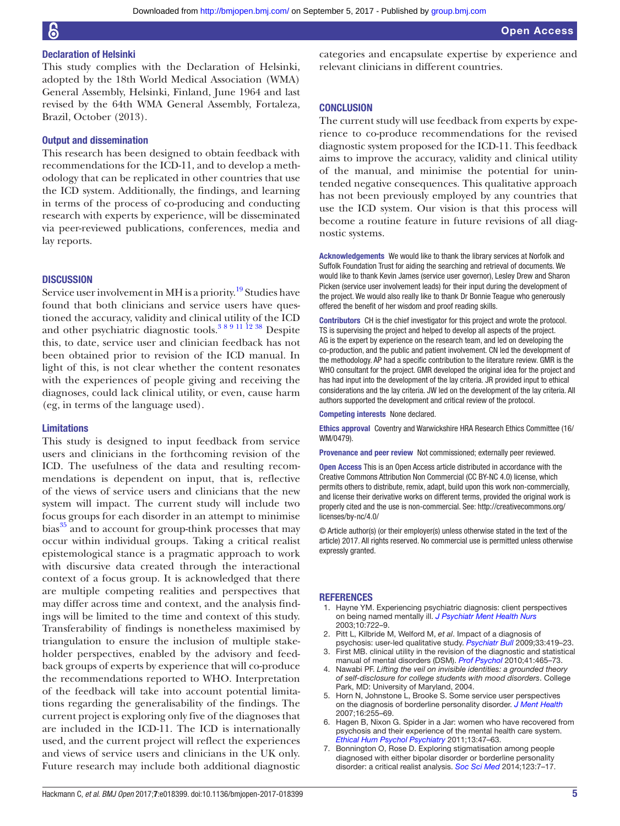## Declaration of Helsinki

This study complies with the Declaration of Helsinki, adopted by the 18th World Medical Association (WMA) General Assembly, Helsinki, Finland, June 1964 and last revised by the 64th WMA General Assembly, Fortaleza, Brazil, October (2013).

## Output and dissemination

This research has been designed to obtain feedback with recommendations for the ICD-11, and to develop a methodology that can be replicated in other countries that use the ICD system. Additionally, the findings, and learning in terms of the process of co-producing and conducting research with experts by experience, will be disseminated via peer-reviewed publications, conferences, media and lay reports.

## **DISCUSSION**

Service user involvement in MH is a priority.<sup>19</sup> Studies have found that both clinicians and service users have questioned the accuracy, validity and clinical utility of the ICD and other psychiatric diagnostic tools.<sup>389 11 12</sup> <sup>38</sup> Despite this, to date, service user and clinician feedback has not been obtained prior to revision of the ICD manual. In light of this, is not clear whether the content resonates with the experiences of people giving and receiving the diagnoses, could lack clinical utility, or even, cause harm (eg, in terms of the language used).

#### Limitations

This study is designed to input feedback from service users and clinicians in the forthcoming revision of the ICD. The usefulness of the data and resulting recommendations is dependent on input, that is, reflective of the views of service users and clinicians that the new system will impact. The current study will include two focus groups for each disorder in an attempt to minimise bias<sup>[35](#page-5-16)</sup> and to account for group-think processes that may occur within individual groups. Taking a critical realist epistemological stance is a pragmatic approach to work with discursive data created through the interactional context of a focus group. It is acknowledged that there are multiple competing realities and perspectives that may differ across time and context, and the analysis findings will be limited to the time and context of this study. Transferability of findings is nonetheless maximised by triangulation to ensure the inclusion of multiple stakeholder perspectives, enabled by the advisory and feedback groups of experts by experience that will co-produce the recommendations reported to WHO. Interpretation of the feedback will take into account potential limitations regarding the generalisability of the findings. The current project is exploring only five of the diagnoses that are included in the ICD-11. The ICD is internationally used, and the current project will reflect the experiences and views of service users and clinicians in the UK only. Future research may include both additional diagnostic

categories and encapsulate expertise by experience and relevant clinicians in different countries.

#### **CONCLUSION**

The current study will use feedback from experts by experience to co-produce recommendations for the revised diagnostic system proposed for the ICD-11. This feedback aims to improve the accuracy, validity and clinical utility of the manual, and minimise the potential for unintended negative consequences. This qualitative approach has not been previously employed by any countries that use the ICD system. Our vision is that this process will become a routine feature in future revisions of all diagnostic systems.

Acknowledgements We would like to thank the library services at Norfolk and Suffolk Foundation Trust for aiding the searching and retrieval of documents. We would like to thank Kevin James (service user governor), Lesley Drew and Sharon Picken (service user involvement leads) for their input during the development of the project. We would also really like to thank Dr Bonnie Teague who generously offered the benefit of her wisdom and proof reading skills.

Contributors CH is the chief investigator for this project and wrote the protocol. TS is supervising the project and helped to develop all aspects of the project. AG is the expert by experience on the research team, and led on developing the co-production, and the public and patient involvement. CN led the development of the methodology. AP had a specific contribution to the literature review. GMR is the WHO consultant for the project. GMR developed the original idea for the project and has had input into the development of the lay criteria. JR provided input to ethical considerations and the lay criteria. JW led on the development of the lay criteria. All authors supported the development and critical review of the protocol.

Competing interests None declared.

Ethics approval Coventry and Warwickshire HRA Research Ethics Committee (16/ WM/0479).

Provenance and peer review Not commissioned; externally peer reviewed.

Open Access This is an Open Access article distributed in accordance with the Creative Commons Attribution Non Commercial (CC BY-NC 4.0) license, which permits others to distribute, remix, adapt, build upon this work non-commercially, and license their derivative works on different terms, provided the original work is properly cited and the use is non-commercial. See: [http://creativecommons.org/](http://creativecommons.org/licenses/by-nc/4.0/) [licenses/by-nc/4.0/](http://creativecommons.org/licenses/by-nc/4.0/)

© Article author(s) (or their employer(s) unless otherwise stated in the text of the article) 2017. All rights reserved. No commercial use is permitted unless otherwise expressly granted.

#### **REFERENCES**

- <span id="page-4-0"></span>1. Hayne YM. Experiencing psychiatric diagnosis: client perspectives on being named mentally ill. *[J Psychiatr Ment Health Nurs](http://dx.doi.org/10.1046/j.1365-2850.2003.00666.x)* 2003;10:722–9.
- 2. Pitt L, Kilbride M, Welford M, *et al*. Impact of a diagnosis of psychosis: user-led qualitative study. *[Psychiatr Bull](http://dx.doi.org/10.1192/pb.bp.108.022863)* 2009;33:419–23.
- <span id="page-4-2"></span>3. First MB. clinical utility in the revision of the diagnostic and statistical manual of mental disorders (DSM). *[Prof Psychol](http://dx.doi.org/10.1037/a0021511)* 2010;41:465–73.
- 4. Nawabi PF. *Lifting the veil on invisible identities: a grounded theory of self-disclosure for college students with mood disorders*. College Park, MD: University of Maryland, 2004.
- <span id="page-4-1"></span>5. Horn N, Johnstone L, Brooke S. Some service user perspectives on the diagnosis of borderline personality disorder. *[J Ment Health](http://dx.doi.org/10.1080/09638230601056371)* 2007;16:255–69.
- 6. Hagen B, Nixon G. Spider in a Jar: women who have recovered from psychosis and their experience of the mental health care system. *[Ethical Hum Psychol Psychiatry](http://dx.doi.org/10.1891/1559-4343.13.1.47)* 2011;13:47–63.
- 7. Bonnington O, Rose D. Exploring stigmatisation among people diagnosed with either bipolar disorder or borderline personality disorder: a critical realist analysis. *[Soc Sci Med](http://dx.doi.org/10.1016/j.socscimed.2014.10.048)* 2014;123:7–17.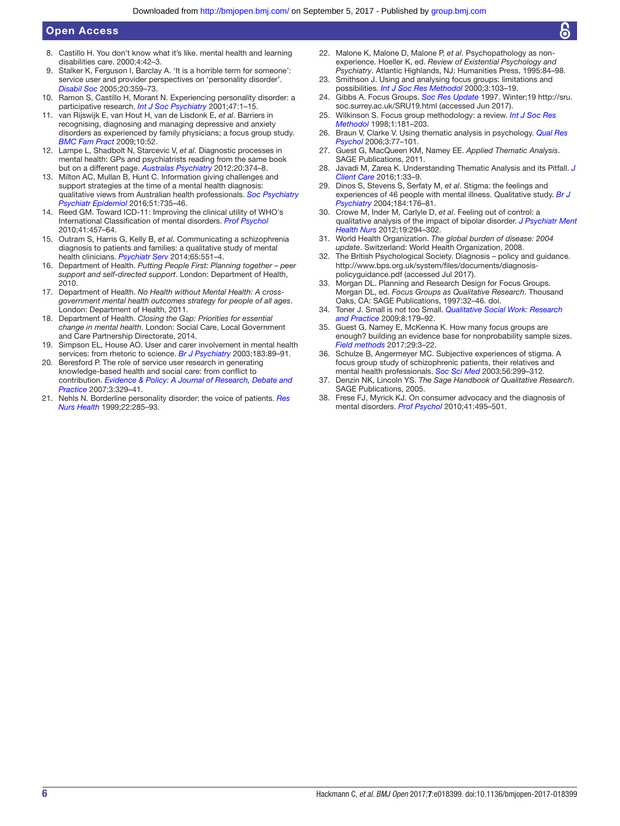## Open Access

- 8. Castillo H. You don't know what it's like. mental health and learning disabilities care. 2000;4:42–3.
- <span id="page-5-1"></span>Stalker K, Ferguson I, Barclay A. 'It is a horrible term for someone': service user and provider perspectives on 'personality disorder'. *[Disabil Soc](http://dx.doi.org/10.1080/09687590500086443)* 2005;20:359–73.
- <span id="page-5-5"></span>10. Ramon S, Castillo H, Morant N. Experiencing personality disorder: a participative research. *[Int J Soc Psychiatry](http://dx.doi.org/10.1177/002076400104700401)* 2001;47:1–15.
- <span id="page-5-0"></span>11. van Rijswijk E, van Hout H, van de Lisdonk E, *et al*. Barriers in recognising, diagnosing and managing depressive and anxiety disorders as experienced by family physicians; a focus group study. *[BMC Fam Pract](http://dx.doi.org/10.1186/1471-2296-10-52)* 2009;10:52.
- 12. Lampe L, Shadbolt N, Starcevic V, *et al*. Diagnostic processes in mental health: GPs and psychiatrists reading from the same book but on a different page. *[Australas Psychiatry](http://dx.doi.org/10.1177/1039856212458007)* 2012;20:374–8.
- <span id="page-5-2"></span>13. Milton AC, Mullan B, Hunt C. Information giving challenges and support strategies at the time of a mental health diagnosis: qualitative views from Australian health professionals. *[Soc Psychiatry](http://dx.doi.org/10.1007/s00127-016-1187-6)  [Psychiatr Epidemiol](http://dx.doi.org/10.1007/s00127-016-1187-6)* 2016;51:735–46.
- 14. Reed GM. Toward ICD-11: Improving the clinical utility of WHO's International Classification of mental disorders. *[Prof Psychol](http://dx.doi.org/10.1037/a0021701)* 2010;41:457–64.
- 15. Outram S, Harris G, Kelly B, *et al*. Communicating a schizophrenia diagnosis to patients and families: a qualitative study of mental health clinicians. *[Psychiatr Serv](http://dx.doi.org/10.1176/appi.ps.201300202)* 2014;65:551–4.
- <span id="page-5-3"></span>16. Department of Health. *Putting People First: Planning together – peer support and self-directed support*. London: Department of Health, 2010.
- 17. Department of Health. *No Health without Mental Health: A crossgovernment mental health outcomes strategy for people of all ages*. London: Department of Health, 2011.
- 18. Department of Health. *Closing the Gap: Priorities for essential change in mental health*. London: Social Care, Local Government and Care Partnership Directorate, 2014.
- <span id="page-5-4"></span>19. Simpson EL, House AO. User and carer involvement in mental health services: from rhetoric to science. *[Br J Psychiatry](http://dx.doi.org/10.1192/bjp.183.2.89)* 2003;183:89–91.
- 20. Beresford P. The role of service user research in generating knowledge-based health and social care: from conflict to contribution. *[Evidence & Policy: A Journal of Research, Debate and](http://dx.doi.org/10.1332/174426407781738074)  [Practice](http://dx.doi.org/10.1332/174426407781738074)* 2007;3:329–41.
- <span id="page-5-7"></span>21. Nehls N. Borderline personality disorder: the voice of patients. *[Res](http://dx.doi.org/10.1002/(SICI)1098-240X(199908)22:4<285::AID-NUR3>3.0.CO;2-R)  [Nurs Health](http://dx.doi.org/10.1002/(SICI)1098-240X(199908)22:4<285::AID-NUR3>3.0.CO;2-R)* 1999;22:285–93.
- <span id="page-5-6"></span>22. Malone K, Malone D, Malone P, *et al*. Psychopathology as nonexperience. Hoeller K, ed. *Review of Existential Psychology and Psychiatry*. Atlantic Highlands, NJ: Humanities Press, 1995:84–98.
- <span id="page-5-8"></span>23. Smithson J. Using and analysing focus groups: limitations and possibilities. *[Int J Soc Res Methodol](http://dx.doi.org/10.1080/136455700405172)* 2000;3:103–19.
- 24. Gibbs A. Focus Groups. *Soc Res Update* 1997. Winter;19 [http://sru.](http://sru.soc.surrey.ac.uk/SRU19.html) [soc.surrey.ac.uk/SRU19.html](http://sru.soc.surrey.ac.uk/SRU19.html) (accessed Jun 2017).
- <span id="page-5-9"></span>25. Wilkinson S. Focus group methodology: a review. *[Int J Soc Res](http://dx.doi.org/10.1080/13645579.1998.10846874)  [Methodol](http://dx.doi.org/10.1080/13645579.1998.10846874)* 1998;1:181–203.
- <span id="page-5-10"></span>26. Braun V, Clarke V. Using thematic analysis in psychology. *[Qual Res](http://dx.doi.org/10.1191/1478088706qp063oa)  [Psychol](http://dx.doi.org/10.1191/1478088706qp063oa)* 2006;3:77–101.
- 27. Guest G, MacQueen KM, Namey EE. *Applied Thematic Analysis*. SAGE Publications, 2011.
- 28. Javadi M, Zarea K. Understanding Thematic Analysis and its Pitfall. *[J](http://dx.doi.org/10.15412/J.JCC.02010107)  [Client Care](http://dx.doi.org/10.15412/J.JCC.02010107)* 2016;1:33–9.
- <span id="page-5-11"></span>29. Dinos S, Stevens S, Serfaty M, *et al*. Stigma: the feelings and experiences of 46 people with mental illness. Qualitative study. *[Br J](http://dx.doi.org/10.1192/bjp.184.2.176)  [Psychiatry](http://dx.doi.org/10.1192/bjp.184.2.176)* 2004;184:176–81.
- 30. Crowe M, Inder M, Carlyle D, *et al*. Feeling out of control: a qualitative analysis of the impact of bipolar disorder. *[J Psychiatr Ment](http://dx.doi.org/10.1111/j.1365-2850.2011.01786.x)  [Health Nurs](http://dx.doi.org/10.1111/j.1365-2850.2011.01786.x)* 2012;19:294–302.
- <span id="page-5-12"></span>31. World Health Organization. *The global burden of disease: 2004 update*. Switzerland: World Health Organization, 2008.
- <span id="page-5-13"></span>32. The British Psychological Society. Diagnosis – policy and guidance. [http://www.bps.org.uk/system/files/documents/diagnosis](http://www.bps.org.uk/system/files/documents/diagnosis-policyguidance.pdf)[policyguidance.pdf](http://www.bps.org.uk/system/files/documents/diagnosis-policyguidance.pdf) (accessed Jul 2017).
- <span id="page-5-14"></span>33. Morgan DL. Planning and Research Design for Focus Groups. Morgan DL, ed. *Focus Groups as Qualitative Research*. Thousand Oaks, CA: SAGE Publications, 1997:32–46. doi.
- <span id="page-5-15"></span>34. Toner J. Small is not too Small. *[Qualitative Social Work: Research](http://dx.doi.org/10.1177/1473325009103374)  [and Practice](http://dx.doi.org/10.1177/1473325009103374)* 2009;8:179–92.
- <span id="page-5-16"></span>35. Guest G, Namey E, McKenna K. How many focus groups are enough? building an evidence base for nonprobability sample sizes. *[Field methods](http://dx.doi.org/10.1177/1525822X16639015)* 2017;29:3–22.
- <span id="page-5-17"></span>36. Schulze B, Angermeyer MC. Subjective experiences of stigma. A focus group study of schizophrenic patients, their relatives and mental health professionals. *[Soc Sci Med](http://dx.doi.org/10.1016/S0277-9536(02)00028-X)* 2003;56:299–312.
- <span id="page-5-18"></span>37. Denzin NK, Lincoln YS. *The Sage Handbook of Qualitative Research*. SAGE Publications, 2005.
- 38. Frese FJ, Myrick KJ. On consumer advocacy and the diagnosis of mental disorders. *[Prof Psychol](http://dx.doi.org/10.1037/a0021527)* 2010;41:495–501.